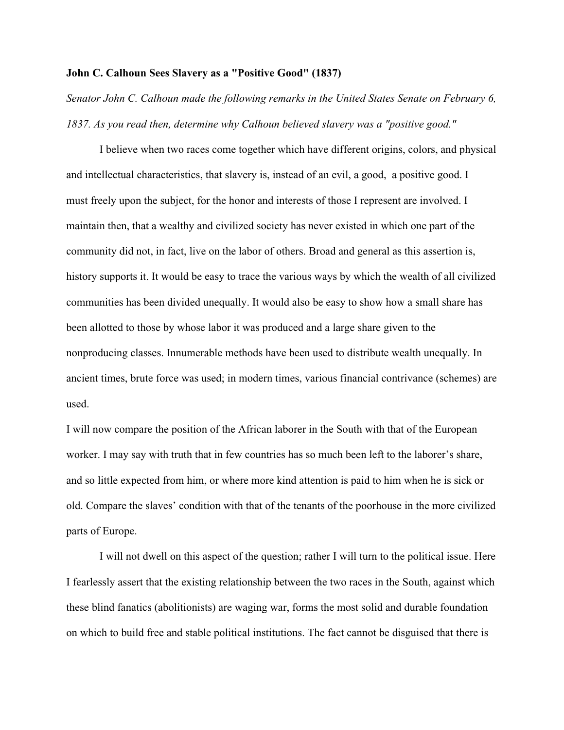## **John C. Calhoun Sees Slavery as a "Positive Good" (1837)**

*Senator John C. Calhoun made the following remarks in the United States Senate on February 6, 1837. As you read then, determine why Calhoun believed slavery was a "positive good."*

I believe when two races come together which have different origins, colors, and physical and intellectual characteristics, that slavery is, instead of an evil, a good, a positive good. I must freely upon the subject, for the honor and interests of those I represent are involved. I maintain then, that a wealthy and civilized society has never existed in which one part of the community did not, in fact, live on the labor of others. Broad and general as this assertion is, history supports it. It would be easy to trace the various ways by which the wealth of all civilized communities has been divided unequally. It would also be easy to show how a small share has been allotted to those by whose labor it was produced and a large share given to the nonproducing classes. Innumerable methods have been used to distribute wealth unequally. In ancient times, brute force was used; in modern times, various financial contrivance (schemes) are used.

I will now compare the position of the African laborer in the South with that of the European worker. I may say with truth that in few countries has so much been left to the laborer's share, and so little expected from him, or where more kind attention is paid to him when he is sick or old. Compare the slaves' condition with that of the tenants of the poorhouse in the more civilized parts of Europe.

I will not dwell on this aspect of the question; rather I will turn to the political issue. Here I fearlessly assert that the existing relationship between the two races in the South, against which these blind fanatics (abolitionists) are waging war, forms the most solid and durable foundation on which to build free and stable political institutions. The fact cannot be disguised that there is